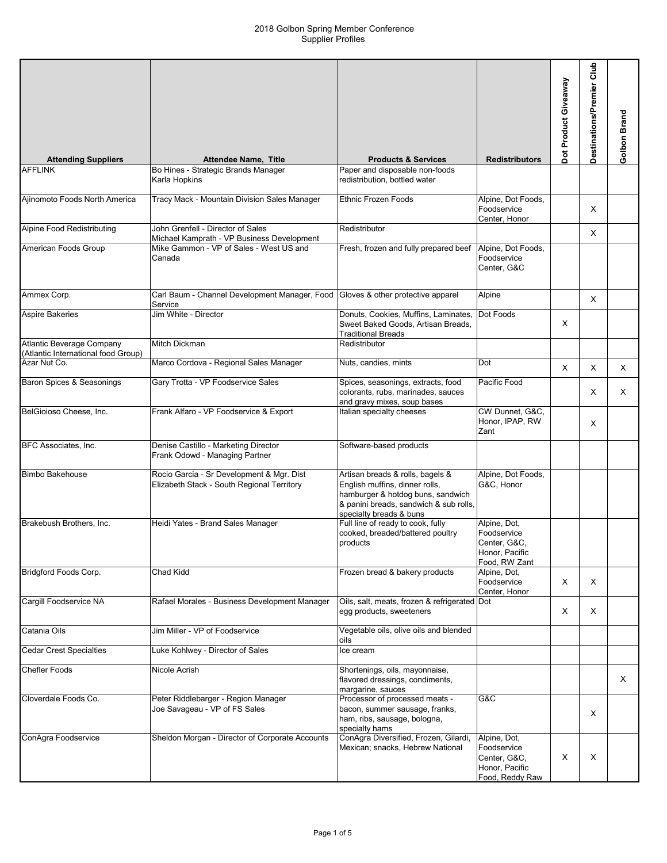| <b>Attending Suppliers</b>                                              | <b>Attendee Name, Title</b>                                                                     | <b>Products &amp; Services</b>                                                                                                                                               | <b>Redistributors</b>                                                            | Dot Product Giveaway | Glub<br>Destinations/Premier | Golbon Brand |
|-------------------------------------------------------------------------|-------------------------------------------------------------------------------------------------|------------------------------------------------------------------------------------------------------------------------------------------------------------------------------|----------------------------------------------------------------------------------|----------------------|------------------------------|--------------|
| <b>AFFLINK</b>                                                          | Bo Hines - Strategic Brands Manager                                                             | Paper and disposable non-foods                                                                                                                                               |                                                                                  |                      |                              |              |
|                                                                         | Karla Hopkins                                                                                   | redistribution, bottled water                                                                                                                                                |                                                                                  |                      |                              |              |
| Ajinomoto Foods North America                                           | Tracy Mack - Mountain Division Sales Manager                                                    | <b>Ethnic Frozen Foods</b>                                                                                                                                                   | Alpine, Dot Foods,<br>Foodservice<br>Center, Honor                               |                      | Χ                            |              |
| Alpine Food Redistributing                                              | John Grenfell - Director of Sales                                                               | Redistributor                                                                                                                                                                |                                                                                  |                      | X                            |              |
| American Foods Group                                                    | Michael Kamprath - VP Business Development<br>Mike Gammon - VP of Sales - West US and<br>Canada | Fresh, frozen and fully prepared beef                                                                                                                                        | Alpine, Dot Foods,<br>Foodservice<br>Center, G&C                                 |                      |                              |              |
| Ammex Corp.                                                             | Carl Baum - Channel Development Manager, Food<br>Service                                        | Gloves & other protective apparel                                                                                                                                            | Alpine                                                                           |                      | X                            |              |
| <b>Aspire Bakeries</b>                                                  | Jim White - Director                                                                            | Donuts, Cookies, Muffins, Laminates,<br>Sweet Baked Goods, Artisan Breads,<br><b>Traditional Breads</b>                                                                      | Dot Foods                                                                        | X                    |                              |              |
| <b>Atlantic Beverage Company</b><br>(Atlantic International food Group) | <b>Mitch Dickman</b>                                                                            | Redistributor                                                                                                                                                                |                                                                                  |                      |                              |              |
| Azar Nut Co.                                                            | Marco Cordova - Regional Sales Manager                                                          | Nuts, candies, mints                                                                                                                                                         | Dot                                                                              | X                    | X                            | X            |
| Baron Spices & Seasonings                                               | Gary Trotta - VP Foodservice Sales                                                              | Spices, seasonings, extracts, food<br>colorants, rubs, marinades, sauces<br>and gravy mixes, soup bases                                                                      | Pacific Food                                                                     |                      | Χ                            | X            |
| BelGioioso Cheese, Inc.                                                 | Frank Alfaro - VP Foodservice & Export                                                          | Italian specialty cheeses                                                                                                                                                    | CW Dunnet, G&C,<br>Honor, IPAP, RW<br>Zant                                       |                      | X                            |              |
| BFC Associates, Inc.                                                    | Denise Castillo - Marketing Director<br>Frank Odowd - Managing Partner                          | Software-based products                                                                                                                                                      |                                                                                  |                      |                              |              |
| <b>Bimbo Bakehouse</b>                                                  | Rocio Garcia - Sr Development & Mgr. Dist<br>Elizabeth Stack - South Regional Territory         | Artisan breads & rolls, bagels &<br>English muffins, dinner rolls,<br>hamburger & hotdog buns, sandwich<br>& panini breads, sandwich & sub rolls,<br>specialty breads & buns | Alpine, Dot Foods,<br>G&C, Honor                                                 |                      |                              |              |
| Brakebush Brothers, Inc.                                                | Heidi Yates - Brand Sales Manager                                                               | Full line of ready to cook, fully<br>cooked, breaded/battered poultry<br>products                                                                                            | Alpine, Dot,<br>Foodservice<br>Center, G&C,<br>Honor, Pacific<br>Food, RW Zant   |                      |                              |              |
| <b>Bridgford Foods Corp.</b>                                            | Chad Kidd                                                                                       | Frozen bread & bakery products                                                                                                                                               | Alpine, Dot,<br>Foodservice<br>Center, Honor                                     | X                    | X                            |              |
| Cargill Foodservice NA                                                  | Rafael Morales - Business Development Manager                                                   | Oils, salt, meats, frozen & refrigerated Dot<br>egg products, sweeteners                                                                                                     |                                                                                  | X                    | Χ                            |              |
| Catania Oils                                                            | Jim Miller - VP of Foodservice                                                                  | Vegetable oils, olive oils and blended<br>oils                                                                                                                               |                                                                                  |                      |                              |              |
| <b>Cedar Crest Specialties</b>                                          | Luke Kohlwey - Director of Sales                                                                | lce cream                                                                                                                                                                    |                                                                                  |                      |                              |              |
| <b>Chefler Foods</b>                                                    | Nicole Acrish                                                                                   | Shortenings, oils, mayonnaise,<br>flavored dressings, condiments,<br>margarine, sauces                                                                                       |                                                                                  |                      |                              | X            |
| Cloverdale Foods Co.                                                    | Peter Riddlebarger - Region Manager<br>Joe Savageau - VP of FS Sales                            | Processor of processed meats -<br>bacon, summer sausage, franks,<br>ham, ribs, sausage, bologna,<br>specialty hams                                                           | G&C                                                                              |                      | Χ                            |              |
| ConAgra Foodservice                                                     | Sheldon Morgan - Director of Corporate Accounts                                                 | ConAgra Diversified, Frozen, Gilardi,<br>Mexican; snacks, Hebrew National                                                                                                    | Alpine, Dot,<br>Foodservice<br>Center, G&C,<br>Honor, Pacific<br>Food, Reddy Raw | х                    | х                            |              |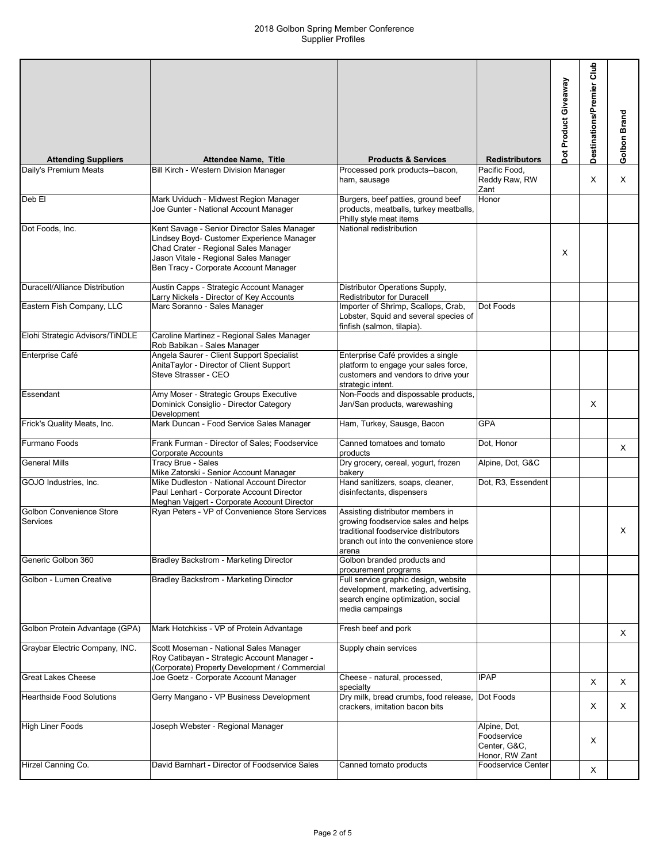| <b>Attending Suppliers</b>           | <b>Attendee Name, Title</b>                                                                                                                                                                                        | <b>Products &amp; Services</b>                                                                                                                                    | <b>Redistributors</b>                                         | Dot Product Giveaway | Club<br>Destinations/Premier | Golbon Brand |
|--------------------------------------|--------------------------------------------------------------------------------------------------------------------------------------------------------------------------------------------------------------------|-------------------------------------------------------------------------------------------------------------------------------------------------------------------|---------------------------------------------------------------|----------------------|------------------------------|--------------|
| Daily's Premium Meats                | Bill Kirch - Western Division Manager                                                                                                                                                                              | Processed pork products--bacon,                                                                                                                                   | Pacific Food.                                                 |                      |                              |              |
|                                      |                                                                                                                                                                                                                    | ham, sausage                                                                                                                                                      | Reddy Raw, RW<br>Zant                                         |                      | X                            | $\times$     |
| Deb El                               | Mark Uviduch - Midwest Region Manager<br>Joe Gunter - National Account Manager                                                                                                                                     | Burgers, beef patties, ground beef<br>products, meatballs, turkey meatballs,<br>Philly style meat items                                                           | Honor                                                         |                      |                              |              |
| Dot Foods, Inc.                      | Kent Savage - Senior Director Sales Manager<br>Lindsey Boyd- Customer Experience Manager<br>Chad Crater - Regional Sales Manager<br>Jason Vitale - Regional Sales Manager<br>Ben Tracy - Corporate Account Manager | National redistribution                                                                                                                                           |                                                               | X                    |                              |              |
| Duracell/Alliance Distribution       | Austin Capps - Strategic Account Manager<br>Larry Nickels - Director of Key Accounts                                                                                                                               | Distributor Operations Supply,<br>Redistributor for Duracell                                                                                                      |                                                               |                      |                              |              |
| Eastern Fish Company, LLC            | Marc Soranno - Sales Manager                                                                                                                                                                                       | Importer of Shrimp, Scallops, Crab,<br>Lobster, Squid and several species of<br>finfish (salmon, tilapia).                                                        | Dot Foods                                                     |                      |                              |              |
| Elohi Strategic Advisors/TiNDLE      | Caroline Martinez - Regional Sales Manager<br>Rob Babikan - Sales Manager                                                                                                                                          |                                                                                                                                                                   |                                                               |                      |                              |              |
| Enterprise Café                      | Angela Saurer - Client Support Specialist<br>AnitaTaylor - Director of Client Support<br>Steve Strasser - CEO                                                                                                      | Enterprise Café provides a single<br>platform to engage your sales force,<br>customers and vendors to drive your<br>strategic intent.                             |                                                               |                      |                              |              |
| Essendant                            | Amy Moser - Strategic Groups Executive<br>Dominick Consiglio - Director Category<br>Development                                                                                                                    | Non-Foods and dispossable products,<br>Jan/San products, warewashing                                                                                              |                                                               |                      | Χ                            |              |
| Frick's Quality Meats, Inc.          | Mark Duncan - Food Service Sales Manager                                                                                                                                                                           | Ham, Turkey, Sausge, Bacon                                                                                                                                        | <b>GPA</b>                                                    |                      |                              |              |
| Furmano Foods                        | Frank Furman - Director of Sales; Foodservice<br>Corporate Accounts                                                                                                                                                | Canned tomatoes and tomato<br>products                                                                                                                            | Dot, Honor                                                    |                      |                              | $\times$     |
| <b>General Mills</b>                 | Tracy Brue - Sales<br>Mike Zatorski - Senior Account Manager                                                                                                                                                       | Dry grocery, cereal, yogurt, frozen<br>bakery                                                                                                                     | Alpine, Dot, G&C                                              |                      |                              |              |
| GOJO Industries, Inc.                | Mike Dudleston - National Account Director<br>Paul Lenhart - Corporate Account Director<br>Meghan Vajgert - Corporate Account Director                                                                             | Hand sanitizers, soaps, cleaner,<br>disinfectants, dispensers                                                                                                     | Dot, R3, Essendent                                            |                      |                              |              |
| Golbon Convenience Store<br>Services | Ryan Peters - VP of Convenience Store Services                                                                                                                                                                     | Assisting distributor members in<br>growing foodservice sales and helps<br>traditional foodservice distributors<br>branch out into the convenience store<br>arena |                                                               |                      |                              | X            |
| Generic Golbon 360                   | Bradley Backstrom - Marketing Director                                                                                                                                                                             | Golbon branded products and<br>procurement programs                                                                                                               |                                                               |                      |                              |              |
| Golbon - Lumen Creative              | Bradley Backstrom - Marketing Director                                                                                                                                                                             | Full service graphic design, website<br>development, marketing, advertising,<br>search engine optimization, social<br>media campaings                             |                                                               |                      |                              |              |
| Golbon Protein Advantage (GPA)       | Mark Hotchkiss - VP of Protein Advantage                                                                                                                                                                           | Fresh beef and pork                                                                                                                                               |                                                               |                      |                              | X            |
| Graybar Electric Company, INC.       | Scott Moseman - National Sales Manager<br>Roy Catibayan - Strategic Account Manager -<br>(Corporate) Property Development / Commercial                                                                             | Supply chain services                                                                                                                                             |                                                               |                      |                              |              |
| <b>Great Lakes Cheese</b>            | Joe Goetz - Corporate Account Manager                                                                                                                                                                              | Cheese - natural, processed,<br>specialty                                                                                                                         | <b>IPAP</b>                                                   |                      | X                            | X            |
| <b>Hearthside Food Solutions</b>     | Gerry Mangano - VP Business Development                                                                                                                                                                            | Dry milk, bread crumbs, food release,<br>crackers, imitation bacon bits                                                                                           | Dot Foods                                                     |                      | Χ                            | X            |
| <b>High Liner Foods</b>              | Joseph Webster - Regional Manager                                                                                                                                                                                  |                                                                                                                                                                   | Alpine, Dot,<br>Foodservice<br>Center, G&C,<br>Honor, RW Zant |                      | Χ                            |              |
| Hirzel Canning Co.                   | David Barnhart - Director of Foodservice Sales                                                                                                                                                                     | Canned tomato products                                                                                                                                            | <b>Foodservice Center</b>                                     |                      | X                            |              |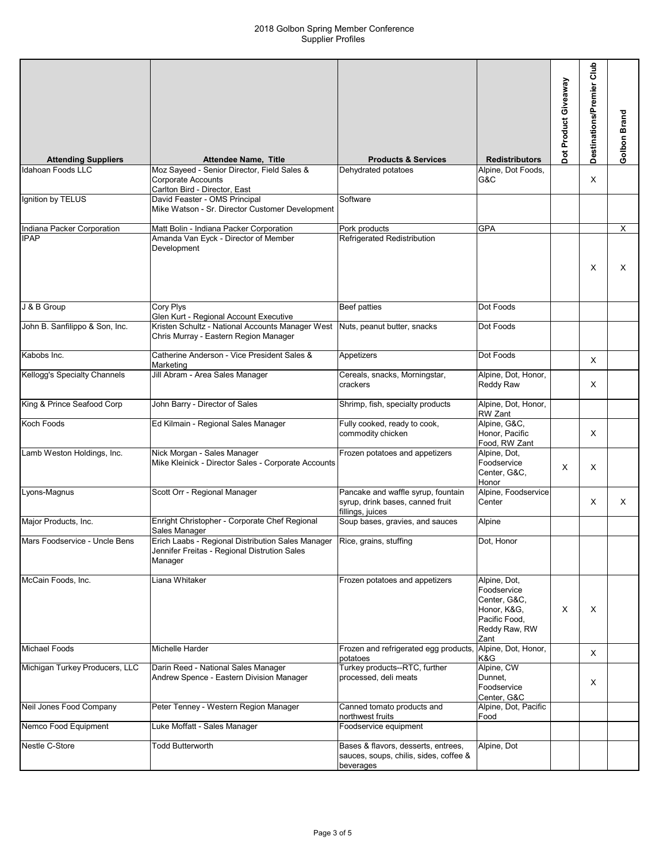| <b>Attending Suppliers</b>          | <b>Attendee Name, Title</b>                                                                                                           | <b>Products &amp; Services</b>                                                             | <b>Redistributors</b>                                                                                | Dot Product Giveaway | Destinations/Premier Club | Golbon Brand |
|-------------------------------------|---------------------------------------------------------------------------------------------------------------------------------------|--------------------------------------------------------------------------------------------|------------------------------------------------------------------------------------------------------|----------------------|---------------------------|--------------|
| Idahoan Foods LLC                   | Moz Sayeed - Senior Director, Field Sales &                                                                                           | Dehydrated potatoes                                                                        | Alpine, Dot Foods,                                                                                   |                      |                           |              |
|                                     | Corporate Accounts<br>Carlton Bird - Director, East                                                                                   |                                                                                            | G&C                                                                                                  |                      | X                         |              |
| Ignition by TELUS                   | David Feaster - OMS Principal<br>Mike Watson - Sr. Director Customer Development                                                      | Software                                                                                   |                                                                                                      |                      |                           |              |
| Indiana Packer Corporation          | Matt Bolin - Indiana Packer Corporation                                                                                               | Pork products                                                                              | <b>GPA</b>                                                                                           |                      |                           | X            |
| <b>IPAP</b>                         | Amanda Van Eyck - Director of Member<br>Development                                                                                   | Refrigerated Redistribution                                                                |                                                                                                      |                      | X                         | X            |
| J & B Group                         | <b>Cory Plys</b><br>Glen Kurt - Regional Account Executive                                                                            | Beef patties                                                                               | Dot Foods                                                                                            |                      |                           |              |
| John B. Sanfilippo & Son, Inc.      | Kristen Schultz - National Accounts Manager West<br>Chris Murray - Eastern Region Manager                                             | Nuts, peanut butter, snacks                                                                | Dot Foods                                                                                            |                      |                           |              |
| Kabobs Inc.                         | Catherine Anderson - Vice President Sales &<br>Marketing                                                                              | Appetizers                                                                                 | Dot Foods                                                                                            |                      | X                         |              |
| <b>Kellogg's Specialty Channels</b> | Jill Abram - Area Sales Manager                                                                                                       | Cereals, snacks, Morningstar,<br>crackers                                                  | Alpine, Dot, Honor,<br>Reddy Raw                                                                     |                      | Χ                         |              |
| King & Prince Seafood Corp          | John Barry - Director of Sales                                                                                                        | Shrimp, fish, specialty products                                                           | Alpine, Dot, Honor,<br>RW Zant                                                                       |                      |                           |              |
| Koch Foods                          | Ed Kilmain - Regional Sales Manager                                                                                                   | Fully cooked, ready to cook,<br>commodity chicken                                          | Alpine, G&C,<br>Honor, Pacific<br>Food, RW Zant                                                      |                      | Χ                         |              |
| Lamb Weston Holdings, Inc.          | Nick Morgan - Sales Manager<br>Mike Kleinick - Director Sales - Corporate Accounts                                                    | Frozen potatoes and appetizers                                                             | Alpine, Dot,<br>Foodservice<br>Center, G&C,<br>Honor                                                 | Χ                    | Χ                         |              |
| Lyons-Magnus                        | Scott Orr - Regional Manager                                                                                                          | Pancake and waffle syrup, fountain<br>syrup, drink bases, canned fruit<br>fillings, juices | Alpine, Foodservice<br>Center                                                                        |                      | Χ                         | Χ            |
| Major Products, Inc.                | Enright Christopher - Corporate Chef Regional<br>Sales Manager                                                                        | Soup bases, gravies, and sauces                                                            | Alpine                                                                                               |                      |                           |              |
| Mars Foodservice - Uncle Bens       | Erich Laabs - Regional Distribution Sales Manager   Rice, grains, stuffing<br>Jennifer Freitas - Regional Distrution Sales<br>Manager |                                                                                            | Dot, Honor                                                                                           |                      |                           |              |
| McCain Foods, Inc.                  | Liana Whitaker                                                                                                                        | Frozen potatoes and appetizers                                                             | Alpine, Dot,<br>Foodservice<br>Center, G&C,<br>Honor, K&G,<br>Pacific Food,<br>Reddy Raw, RW<br>Zant | Х                    | Χ                         |              |
| <b>Michael Foods</b>                | Michelle Harder                                                                                                                       | Frozen and refrigerated egg products,<br>potatoes                                          | Alpine, Dot, Honor,<br>K&G                                                                           |                      | Χ                         |              |
| Michigan Turkey Producers, LLC      | Darin Reed - National Sales Manager<br>Andrew Spence - Eastern Division Manager                                                       | Turkey products--RTC, further<br>processed, deli meats                                     | Alpine, CW<br>Dunnet,<br>Foodservice<br>Center, G&C                                                  |                      | X                         |              |
| Neil Jones Food Company             | Peter Tenney - Western Region Manager                                                                                                 | Canned tomato products and<br>northwest fruits                                             | Alpine, Dot, Pacific<br>Food                                                                         |                      |                           |              |
| Nemco Food Equipment                | Luke Moffatt - Sales Manager                                                                                                          | Foodservice equipment                                                                      |                                                                                                      |                      |                           |              |
| Nestle C-Store                      | <b>Todd Butterworth</b>                                                                                                               | Bases & flavors, desserts, entrees,<br>sauces, soups, chilis, sides, coffee &<br>beverages | Alpine, Dot                                                                                          |                      |                           |              |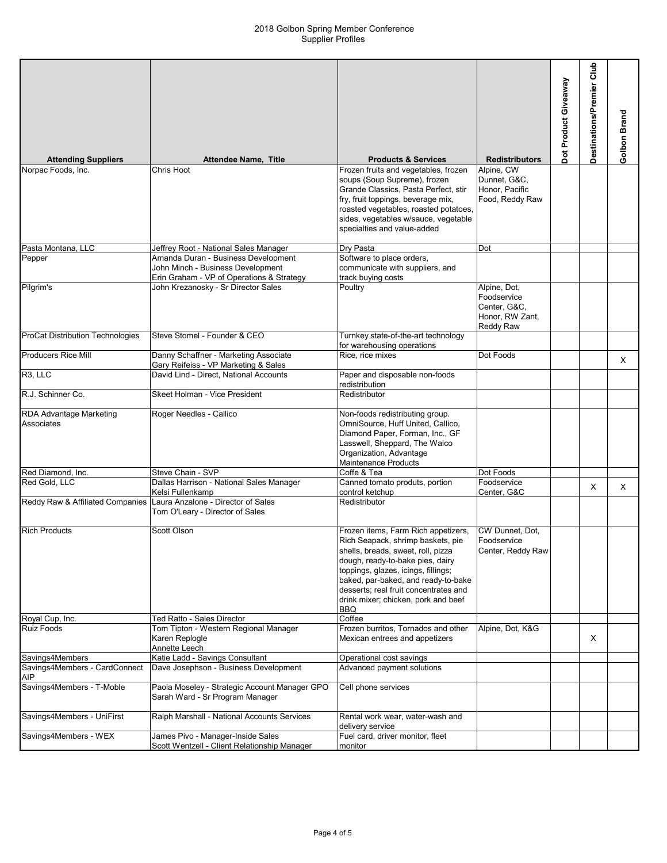| <b>Attending Suppliers</b>                  | <b>Attendee Name, Title</b>                                                                                           | <b>Products &amp; Services</b>                                                                                                                                                                                                                                                                                          | <b>Redistributors</b>                                                       | Dot Product Giveaway | Club<br>Destinations/Premier | Golbon Brand |
|---------------------------------------------|-----------------------------------------------------------------------------------------------------------------------|-------------------------------------------------------------------------------------------------------------------------------------------------------------------------------------------------------------------------------------------------------------------------------------------------------------------------|-----------------------------------------------------------------------------|----------------------|------------------------------|--------------|
| Norpac Foods, Inc.                          | Chris Hoot                                                                                                            | Frozen fruits and vegetables, frozen                                                                                                                                                                                                                                                                                    | Alpine, CW                                                                  |                      |                              |              |
|                                             |                                                                                                                       | soups (Soup Supreme), frozen<br>Grande Classics, Pasta Perfect, stir<br>fry, fruit toppings, beverage mix,<br>roasted vegetables, roasted potatoes,<br>sides, vegetables w/sauce, vegetable<br>specialties and value-added                                                                                              | Dunnet, G&C,<br>Honor, Pacific<br>Food, Reddy Raw                           |                      |                              |              |
| Pasta Montana, LLC                          | Jeffrey Root - National Sales Manager                                                                                 | Dry Pasta                                                                                                                                                                                                                                                                                                               | Dot                                                                         |                      |                              |              |
| Pepper                                      | Amanda Duran - Business Development<br>John Minch - Business Development<br>Erin Graham - VP of Operations & Strategy | Software to place orders,<br>communicate with suppliers, and<br>track buying costs                                                                                                                                                                                                                                      |                                                                             |                      |                              |              |
| Pilgrim's                                   | John Krezanosky - Sr Director Sales                                                                                   | Poultry                                                                                                                                                                                                                                                                                                                 | Alpine, Dot,<br>Foodservice<br>Center, G&C.<br>Honor, RW Zant,<br>Reddy Raw |                      |                              |              |
| ProCat Distribution Technologies            | Steve Stomel - Founder & CEO                                                                                          | Turnkey state-of-the-art technology<br>for warehousing operations                                                                                                                                                                                                                                                       |                                                                             |                      |                              |              |
| <b>Producers Rice Mill</b>                  | Danny Schaffner - Marketing Associate<br>Gary Reifeiss - VP Marketing & Sales                                         | Rice, rice mixes                                                                                                                                                                                                                                                                                                        | Dot Foods                                                                   |                      |                              | $\times$     |
| R <sub>3</sub> , LLC                        | David Lind - Direct, National Accounts                                                                                | Paper and disposable non-foods<br>redistribution                                                                                                                                                                                                                                                                        |                                                                             |                      |                              |              |
| R.J. Schinner Co.                           | Skeet Holman - Vice President                                                                                         | Redistributor                                                                                                                                                                                                                                                                                                           |                                                                             |                      |                              |              |
| RDA Advantage Marketing<br>Associates       | Roger Needles - Callico                                                                                               | Non-foods redistributing group.<br>OmniSource, Huff United, Callico,<br>Diamond Paper, Forman, Inc., GF<br>Lasswell, Sheppard, The Walco<br>Organization, Advantage<br>Maintenance Products                                                                                                                             |                                                                             |                      |                              |              |
| Red Diamond, Inc.                           | Steve Chain - SVP                                                                                                     | Coffe & Tea                                                                                                                                                                                                                                                                                                             | Dot Foods                                                                   |                      |                              |              |
| Red Gold, LLC                               | Dallas Harrison - National Sales Manager<br>Kelsi Fullenkamp                                                          | Canned tomato produts, portion<br>control ketchup                                                                                                                                                                                                                                                                       | Foodservice<br>Center, G&C                                                  |                      | X                            | $\times$     |
| Reddy Raw & Affiliated Companies            | Laura Anzalone - Director of Sales<br>Tom O'Leary - Director of Sales                                                 | Redistributor                                                                                                                                                                                                                                                                                                           |                                                                             |                      |                              |              |
| <b>Rich Products</b>                        | Scott Olson                                                                                                           | Frozen items, Farm Rich appetizers,<br>Rich Seapack, shrimp baskets, pie<br>shells, breads, sweet, roll, pizza<br>dough, ready-to-bake pies, dairy<br>toppings, glazes, icings, fillings;<br>baked, par-baked, and ready-to-bake<br>desserts; real fruit concentrates and<br>drink mixer; chicken, pork and beef<br>BBQ | CW Dunnet, Dot,<br>Foodservice<br>Center, Reddy Raw                         |                      |                              |              |
| Royal Cup, Inc.                             | Ted Ratto - Sales Director                                                                                            | Coffee                                                                                                                                                                                                                                                                                                                  |                                                                             |                      |                              |              |
| <b>Ruiz Foods</b>                           | Tom Tipton - Western Regional Manager<br>Karen Replogle<br>Annette Leech                                              | Frozen burritos, Tornados and other<br>Mexican entrees and appetizers                                                                                                                                                                                                                                                   | Alpine, Dot, K&G                                                            |                      | Χ                            |              |
| Savings4Members                             | Katie Ladd - Savings Consultant                                                                                       | Operational cost savings                                                                                                                                                                                                                                                                                                |                                                                             |                      |                              |              |
| Savings4Members - CardConnect<br><b>AIP</b> | Dave Josephson - Business Development                                                                                 | Advanced payment solutions                                                                                                                                                                                                                                                                                              |                                                                             |                      |                              |              |
| Savings4Members - T-Moble                   | Paola Moseley - Strategic Account Manager GPO<br>Sarah Ward - Sr Program Manager                                      | Cell phone services                                                                                                                                                                                                                                                                                                     |                                                                             |                      |                              |              |
| Savings4Members - UniFirst                  | Ralph Marshall - National Accounts Services                                                                           | Rental work wear, water-wash and<br>delivery service                                                                                                                                                                                                                                                                    |                                                                             |                      |                              |              |
| Savings4Members - WEX                       | James Pivo - Manager-Inside Sales<br>Scott Wentzell - Client Relationship Manager                                     | Fuel card, driver monitor, fleet<br>monitor                                                                                                                                                                                                                                                                             |                                                                             |                      |                              |              |